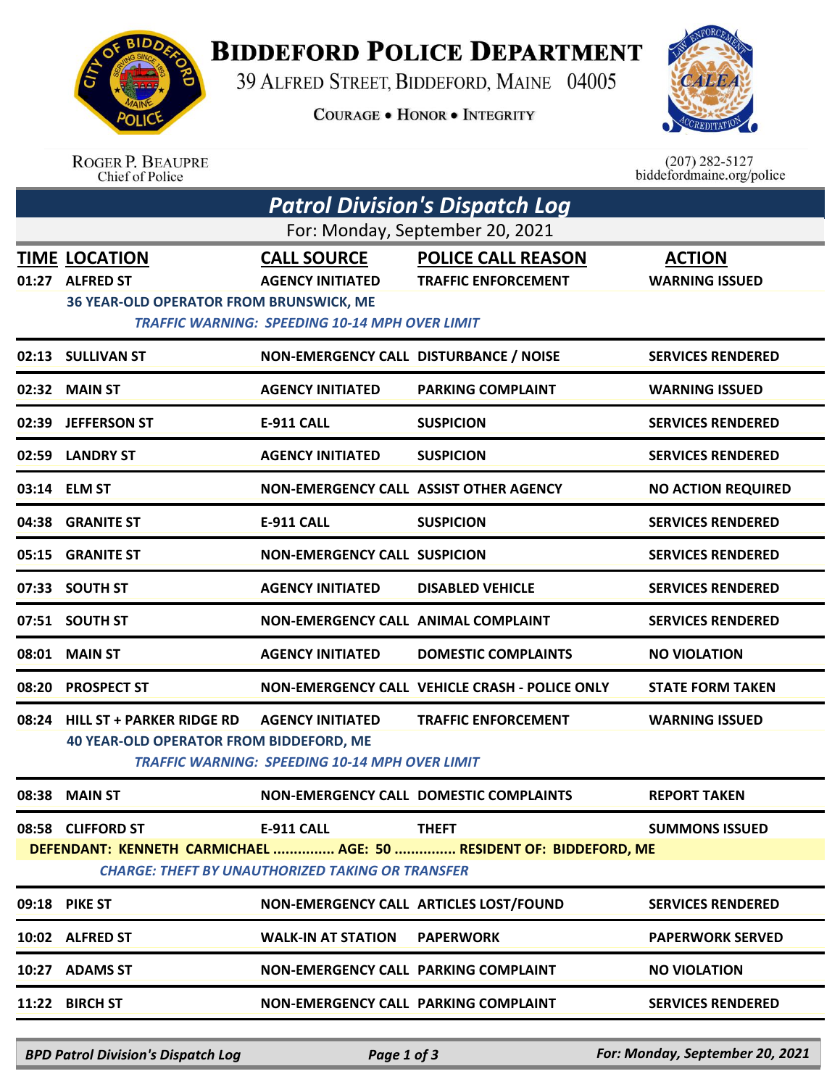

**BIDDEFORD POLICE DEPARTMENT** 

39 ALFRED STREET, BIDDEFORD, MAINE 04005

**COURAGE . HONOR . INTEGRITY** 



|                                                                                                                               | <b>ROGER P. BEAUPRE</b><br>Chief of Police |                                                       |                                                | $(207)$ 282-5127<br>biddefordmaine.org/police |  |  |  |  |
|-------------------------------------------------------------------------------------------------------------------------------|--------------------------------------------|-------------------------------------------------------|------------------------------------------------|-----------------------------------------------|--|--|--|--|
|                                                                                                                               |                                            |                                                       | <b>Patrol Division's Dispatch Log</b>          |                                               |  |  |  |  |
| For: Monday, September 20, 2021                                                                                               |                                            |                                                       |                                                |                                               |  |  |  |  |
|                                                                                                                               | <b>TIME LOCATION</b>                       | <b>CALL SOURCE</b>                                    | <b>POLICE CALL REASON</b>                      | <b>ACTION</b>                                 |  |  |  |  |
| 01:27                                                                                                                         | <b>ALFRED ST</b>                           | <b>AGENCY INITIATED</b>                               | <b>TRAFFIC ENFORCEMENT</b>                     | <b>WARNING ISSUED</b>                         |  |  |  |  |
|                                                                                                                               | 36 YEAR-OLD OPERATOR FROM BRUNSWICK, ME    | <b>TRAFFIC WARNING: SPEEDING 10-14 MPH OVER LIMIT</b> |                                                |                                               |  |  |  |  |
| 02:13                                                                                                                         | <b>SULLIVAN ST</b>                         | NON-EMERGENCY CALL DISTURBANCE / NOISE                |                                                | <b>SERVICES RENDERED</b>                      |  |  |  |  |
| 02:32                                                                                                                         | <b>MAIN ST</b>                             | <b>AGENCY INITIATED</b>                               | <b>PARKING COMPLAINT</b>                       | <b>WARNING ISSUED</b>                         |  |  |  |  |
| 02:39                                                                                                                         | <b>JEFFERSON ST</b>                        | E-911 CALL                                            | <b>SUSPICION</b>                               | <b>SERVICES RENDERED</b>                      |  |  |  |  |
| 02:59                                                                                                                         | <b>LANDRY ST</b>                           | <b>AGENCY INITIATED</b>                               | <b>SUSPICION</b>                               | <b>SERVICES RENDERED</b>                      |  |  |  |  |
|                                                                                                                               | 03:14 ELM ST                               | NON-EMERGENCY CALL ASSIST OTHER AGENCY                |                                                | <b>NO ACTION REQUIRED</b>                     |  |  |  |  |
| 04:38                                                                                                                         | <b>GRANITE ST</b>                          | E-911 CALL                                            | <b>SUSPICION</b>                               | <b>SERVICES RENDERED</b>                      |  |  |  |  |
| 05:15                                                                                                                         | <b>GRANITE ST</b>                          | <b>NON-EMERGENCY CALL SUSPICION</b>                   |                                                | <b>SERVICES RENDERED</b>                      |  |  |  |  |
| 07:33                                                                                                                         | <b>SOUTH ST</b>                            | <b>AGENCY INITIATED</b>                               | <b>DISABLED VEHICLE</b>                        | <b>SERVICES RENDERED</b>                      |  |  |  |  |
| 07:51                                                                                                                         | <b>SOUTH ST</b>                            | <b>NON-EMERGENCY CALL ANIMAL COMPLAINT</b>            |                                                | <b>SERVICES RENDERED</b>                      |  |  |  |  |
| 08:01                                                                                                                         | <b>MAIN ST</b>                             | <b>AGENCY INITIATED</b>                               | <b>DOMESTIC COMPLAINTS</b>                     | <b>NO VIOLATION</b>                           |  |  |  |  |
| 08:20                                                                                                                         | <b>PROSPECT ST</b>                         |                                                       | NON-EMERGENCY CALL VEHICLE CRASH - POLICE ONLY | <b>STATE FORM TAKEN</b>                       |  |  |  |  |
| 08:24                                                                                                                         | <b>HILL ST + PARKER RIDGE RD</b>           | <b>AGENCY INITIATED</b>                               | <b>TRAFFIC ENFORCEMENT</b>                     | <b>WARNING ISSUED</b>                         |  |  |  |  |
| <b>40 YEAR-OLD OPERATOR FROM BIDDEFORD, ME</b><br><b>TRAFFIC WARNING: SPEEDING 10-14 MPH OVER LIMIT</b>                       |                                            |                                                       |                                                |                                               |  |  |  |  |
|                                                                                                                               | 08:38 MAIN ST                              |                                                       | NON-EMERGENCY CALL DOMESTIC COMPLAINTS         | <b>REPORT TAKEN</b>                           |  |  |  |  |
|                                                                                                                               | 08:58 CLIFFORD ST                          | <b>E-911 CALL</b>                                     | <b>THEFT</b>                                   | <b>SUMMONS ISSUED</b>                         |  |  |  |  |
| DEFENDANT: KENNETH CARMICHAEL  AGE: 50  RESIDENT OF: BIDDEFORD, ME<br><b>CHARGE: THEFT BY UNAUTHORIZED TAKING OR TRANSFER</b> |                                            |                                                       |                                                |                                               |  |  |  |  |
|                                                                                                                               |                                            |                                                       |                                                |                                               |  |  |  |  |
|                                                                                                                               | 09:18 PIKE ST                              |                                                       | NON-EMERGENCY CALL ARTICLES LOST/FOUND         | <b>SERVICES RENDERED</b>                      |  |  |  |  |
|                                                                                                                               | 10:02 ALFRED ST                            | <b>WALK-IN AT STATION</b>                             | <b>PAPERWORK</b>                               | <b>PAPERWORK SERVED</b>                       |  |  |  |  |
|                                                                                                                               | 10:27 ADAMS ST                             | <b>NON-EMERGENCY CALL PARKING COMPLAINT</b>           |                                                | <b>NO VIOLATION</b>                           |  |  |  |  |
|                                                                                                                               | 11:22 BIRCH ST                             | NON-EMERGENCY CALL PARKING COMPLAINT                  |                                                | <b>SERVICES RENDERED</b>                      |  |  |  |  |
|                                                                                                                               |                                            |                                                       |                                                |                                               |  |  |  |  |

*BPD Patrol Division's Dispatch Log Page 1 of 3 For: Monday, September 20, 2021*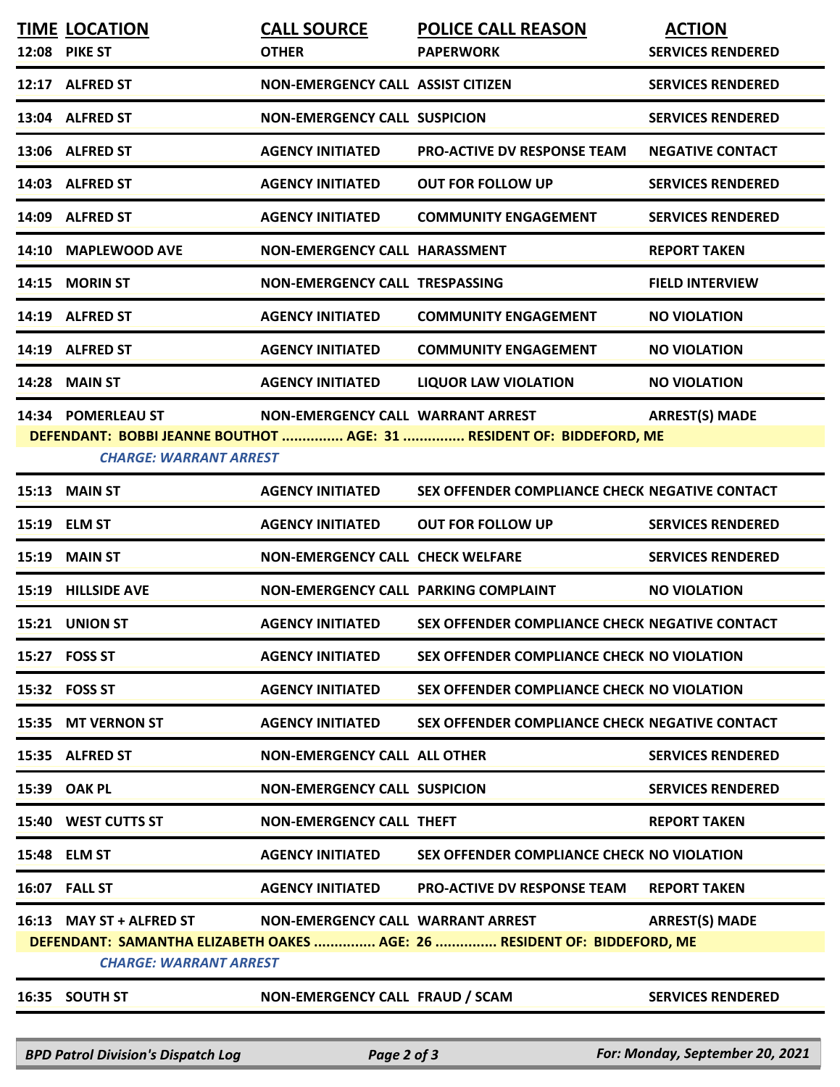|                                                                                                           | <b>TIME LOCATION</b><br><b>12:08 PIKE ST</b> | <b>CALL SOURCE</b><br><b>OTHER</b>       | <b>POLICE CALL REASON</b><br><b>PAPERWORK</b>                        | <b>ACTION</b><br><b>SERVICES RENDERED</b> |  |  |  |
|-----------------------------------------------------------------------------------------------------------|----------------------------------------------|------------------------------------------|----------------------------------------------------------------------|-------------------------------------------|--|--|--|
|                                                                                                           | 12:17 ALFRED ST                              | <b>NON-EMERGENCY CALL ASSIST CITIZEN</b> |                                                                      | <b>SERVICES RENDERED</b>                  |  |  |  |
|                                                                                                           | 13:04 ALFRED ST                              | <b>NON-EMERGENCY CALL SUSPICION</b>      |                                                                      | <b>SERVICES RENDERED</b>                  |  |  |  |
|                                                                                                           | 13:06 ALFRED ST                              | <b>AGENCY INITIATED</b>                  | <b>PRO-ACTIVE DV RESPONSE TEAM</b>                                   | <b>NEGATIVE CONTACT</b>                   |  |  |  |
|                                                                                                           | 14:03 ALFRED ST                              | <b>AGENCY INITIATED</b>                  | <b>OUT FOR FOLLOW UP</b>                                             | <b>SERVICES RENDERED</b>                  |  |  |  |
|                                                                                                           | 14:09 ALFRED ST                              | <b>AGENCY INITIATED</b>                  | <b>COMMUNITY ENGAGEMENT</b>                                          | <b>SERVICES RENDERED</b>                  |  |  |  |
|                                                                                                           | 14:10 MAPLEWOOD AVE                          | <b>NON-EMERGENCY CALL HARASSMENT</b>     |                                                                      | <b>REPORT TAKEN</b>                       |  |  |  |
|                                                                                                           | 14:15 MORIN ST                               | NON-EMERGENCY CALL TRESPASSING           |                                                                      | <b>FIELD INTERVIEW</b>                    |  |  |  |
|                                                                                                           | 14:19 ALFRED ST                              | <b>AGENCY INITIATED</b>                  | <b>COMMUNITY ENGAGEMENT</b>                                          | <b>NO VIOLATION</b>                       |  |  |  |
|                                                                                                           | 14:19 ALFRED ST                              | <b>AGENCY INITIATED</b>                  | <b>COMMUNITY ENGAGEMENT</b>                                          | <b>NO VIOLATION</b>                       |  |  |  |
|                                                                                                           | 14:28 MAIN ST                                | <b>AGENCY INITIATED</b>                  | <b>LIQUOR LAW VIOLATION</b>                                          | <b>NO VIOLATION</b>                       |  |  |  |
|                                                                                                           | 14:34 POMERLEAU ST                           | NON-EMERGENCY CALL WARRANT ARREST        |                                                                      | <b>ARREST(S) MADE</b>                     |  |  |  |
|                                                                                                           | <b>CHARGE: WARRANT ARREST</b>                |                                          | DEFENDANT: BOBBI JEANNE BOUTHOT  AGE: 31  RESIDENT OF: BIDDEFORD, ME |                                           |  |  |  |
|                                                                                                           | 15:13 MAIN ST                                | <b>AGENCY INITIATED</b>                  | SEX OFFENDER COMPLIANCE CHECK NEGATIVE CONTACT                       |                                           |  |  |  |
|                                                                                                           | 15:19 ELM ST                                 | <b>AGENCY INITIATED</b>                  | <b>OUT FOR FOLLOW UP</b>                                             | <b>SERVICES RENDERED</b>                  |  |  |  |
|                                                                                                           | <b>15:19 MAIN ST</b>                         | <b>NON-EMERGENCY CALL CHECK WELFARE</b>  |                                                                      | <b>SERVICES RENDERED</b>                  |  |  |  |
|                                                                                                           | 15:19 HILLSIDE AVE                           | NON-EMERGENCY CALL PARKING COMPLAINT     |                                                                      | <b>NO VIOLATION</b>                       |  |  |  |
|                                                                                                           | 15:21 UNION ST                               | <b>AGENCY INITIATED</b>                  | SEX OFFENDER COMPLIANCE CHECK NEGATIVE CONTACT                       |                                           |  |  |  |
|                                                                                                           | 15:27 FOSS ST                                | <b>AGENCY INITIATED</b>                  | SEX OFFENDER COMPLIANCE CHECK NO VIOLATION                           |                                           |  |  |  |
|                                                                                                           | 15:32 FOSS ST                                | <b>AGENCY INITIATED</b>                  | SEX OFFENDER COMPLIANCE CHECK NO VIOLATION                           |                                           |  |  |  |
|                                                                                                           | 15:35 MT VERNON ST                           | <b>AGENCY INITIATED</b>                  | SEX OFFENDER COMPLIANCE CHECK NEGATIVE CONTACT                       |                                           |  |  |  |
|                                                                                                           | 15:35 ALFRED ST                              | <b>NON-EMERGENCY CALL ALL OTHER</b>      |                                                                      | <b>SERVICES RENDERED</b>                  |  |  |  |
|                                                                                                           | 15:39 OAK PL                                 | <b>NON-EMERGENCY CALL SUSPICION</b>      |                                                                      | <b>SERVICES RENDERED</b>                  |  |  |  |
|                                                                                                           | 15:40 WEST CUTTS ST                          | <b>NON-EMERGENCY CALL THEFT</b>          |                                                                      | <b>REPORT TAKEN</b>                       |  |  |  |
|                                                                                                           | 15:48 ELM ST                                 | <b>AGENCY INITIATED</b>                  | SEX OFFENDER COMPLIANCE CHECK NO VIOLATION                           |                                           |  |  |  |
|                                                                                                           | <b>16:07 FALL ST</b>                         | <b>AGENCY INITIATED</b>                  | <b>PRO-ACTIVE DV RESPONSE TEAM</b>                                   | <b>REPORT TAKEN</b>                       |  |  |  |
|                                                                                                           | 16:13 MAY ST + ALFRED ST                     | NON-EMERGENCY CALL WARRANT ARREST        |                                                                      | <b>ARREST(S) MADE</b>                     |  |  |  |
| DEFENDANT: SAMANTHA ELIZABETH OAKES  AGE: 26  RESIDENT OF: BIDDEFORD, ME<br><b>CHARGE: WARRANT ARREST</b> |                                              |                                          |                                                                      |                                           |  |  |  |
|                                                                                                           |                                              |                                          | NON-EMERGENCY CALL FRAUD / SCAM                                      | <b>SERVICES RENDERED</b>                  |  |  |  |